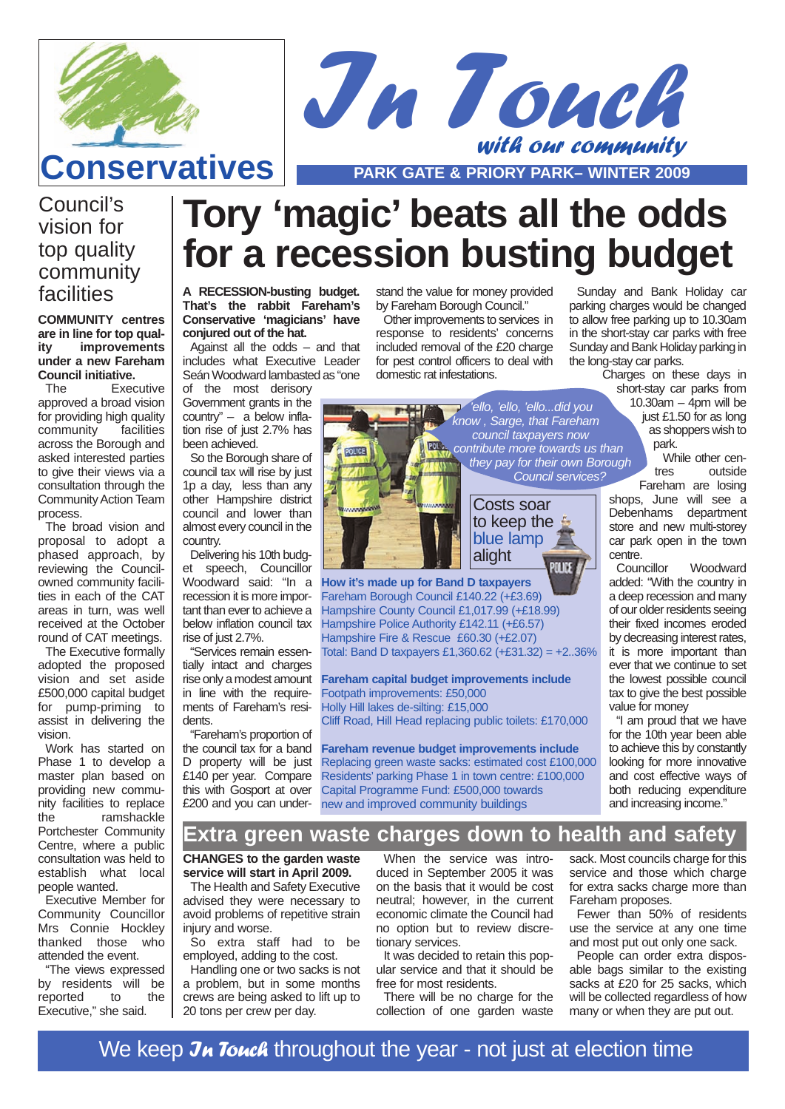



# **Conservatives PARK GATE & PRIORY PARK– WINTER 2009**

## Council's vision for top quality community facilities

**COMMUNITY centres are in line for top quality improvements under a new Fareham Council initiative.**

The Executive approved a broad vision for providing high quality<br>community facilities community across the Borough and asked interested parties to give their views via a consultation through the Community Action Team process.

The broad vision and proposal to adopt a phased approach, by reviewing the Councilowned community facilities in each of the CAT areas in turn, was well received at the October round of CAT meetings.

The Executive formally adopted the proposed vision and set aside £500,000 capital budget for pump-priming to assist in delivering the vision.

Work has started on Phase 1 to develop a master plan based on providing new community facilities to replace<br>the ramshackle ramshackle Portchester Community Centre, where a public consultation was held to establish what local people wanted.

Executive Member for Community Councillor Mrs Connie Hockley thanked those who attended the event.

"The views expressed by residents will be reported to the Executive," she said.

# **Tory 'magic' beats all the odds for a recession busting budget**

**A RECESSION-busting budget. That's the rabbit Fareham's Conservative 'magicians' have conjured out of the hat.**

Against all the odds – and that includes what Executive Leader Seán Woodward lambasted as "one

**POLICE** 

of the most derisory Government grants in the country" – a below inflation rise of just 2.7% has been achieved.

So the Borough share of council tax will rise by just 1p a day, less than any other Hampshire district council and lower than almost every council in the country.

Delivering his 10th budget speech, Councillor Woodward said: "In a recession it is more important than ever to achieve a below inflation council tax rise of just 2.7%.

"Services remain essentially intact and charges rise only a modest amount in line with the requirements of Fareham's residents.

"Fareham's proportion of the council tax for a band D property will be just £140 per year. Compare this with Gosport at over £200 and you can understand the value for money provided by Fareham Borough Council."

Other improvements to services in response to residents' concerns included removal of the £20 charge for pest control officers to deal with domestic rat infestations.

> 'ello, 'ello, 'ello...did you know , Sarge, that Fareham council taxpayers now **ROM** contribute more towards us than they pay for their own Borough Council services?



**How it's made up for Band D taxpayers** Fareham Borough Council £140.22 (+£3.69) Hampshire County Council £1,017.99 (+£18.99) Hampshire Police Authority £142.11 (+£6.57) Hampshire Fire & Rescue £60.30 (+£2.07) Total: Band D taxpayers £1,360.62 (+£31.32) = +2..36%

**Fareham capital budget improvements include** Footpath improvements: £50,000 Holly Hill lakes de-silting: £15,000 Cliff Road, Hill Head replacing public toilets: £170,000

**Fareham revenue budget improvements include** Replacing green waste sacks: estimated cost £100,000 Residents' parking Phase 1 in town centre: £100,000 Capital Programme Fund: £500,000 towards new and improved community buildings

Sunday and Bank Holiday car parking charges would be changed to allow free parking up to 10.30am in the short-stay car parks with free Sunday and Bank Holiday parking in the long-stay car parks.

Charges on these days in short-stay car parks from

10.30am – 4pm will be just £1.50 for as long as shoppers wish to park.

While other centres outside Fareham are losing

shops, June will see a Debenhams department store and new multi-storey car park open in the town centre.<br>Councillor

Woodward added: "With the country in a deep recession and many of our older residents seeing their fixed incomes eroded by decreasing interest rates, it is more important than ever that we continue to set the lowest possible council tax to give the best possible value for money

"I am proud that we have for the 10th year been able to achieve this by constantly looking for more innovative and cost effective ways of both reducing expenditure and increasing income."

#### **Extra green waste charges down to health and safety**

**CHANGES to the garden waste service will start in April 2009.** 

The Health and Safety Executive advised they were necessary to avoid problems of repetitive strain injury and worse.

So extra staff had to be employed, adding to the cost.

Handling one or two sacks is not a problem, but in some months crews are being asked to lift up to 20 tons per crew per day.

When the service was introduced in September 2005 it was on the basis that it would be cost neutral; however, in the current economic climate the Council had no option but to review discretionary services.

It was decided to retain this popular service and that it should be free for most residents.

There will be no charge for the collection of one garden waste

sack. Most councils charge for this service and those which charge for extra sacks charge more than Fareham proposes.

Fewer than 50% of residents use the service at any one time and most put out only one sack.

People can order extra disposable bags similar to the existing sacks at £20 for 25 sacks, which will be collected regardless of how many or when they are put out.

We keep Jn Touch throughout the year - not just at election time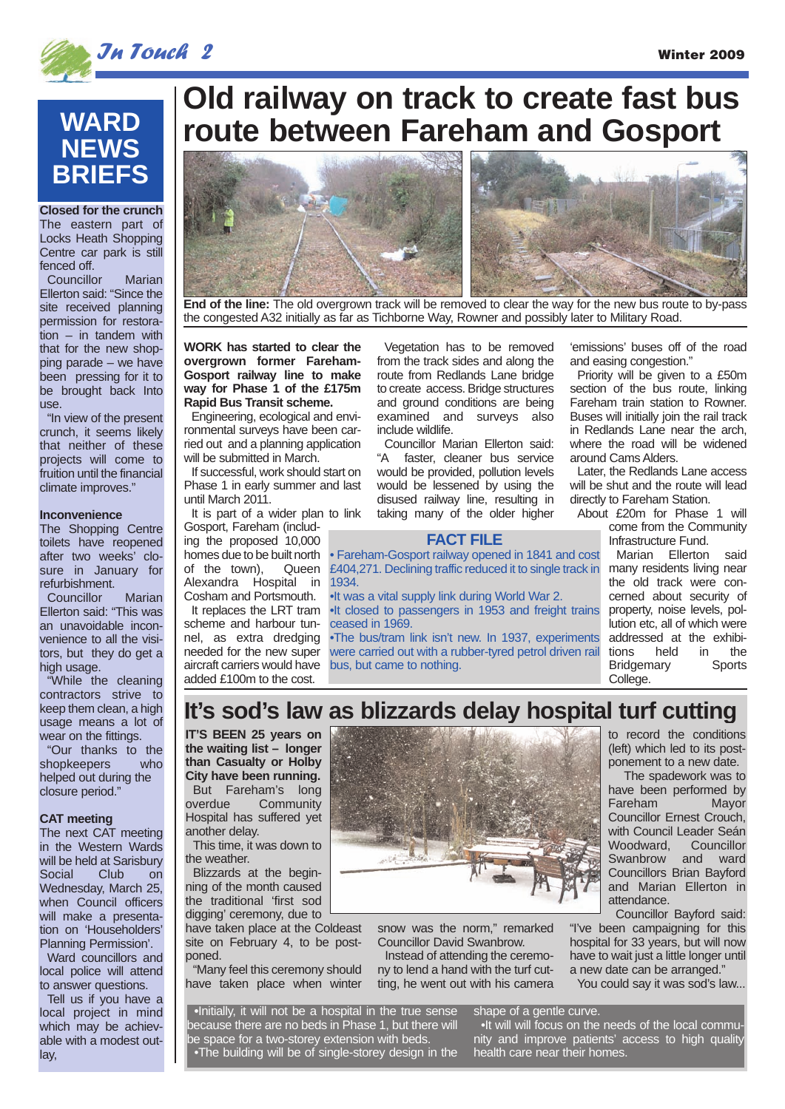



**Closed for the crunch** The eastern part of Locks Heath Shopping Centre car park is still fenced off.

Councillor Marian Ellerton said: "Since the site received planning permission for restoration – in tandem with that for the new shopping parade – we have been pressing for it to be brought back Into use.

"In view of the present crunch, it seems likely that neither of these projects will come to fruition until the financial climate improves."

#### **Inconvenience**

The Shopping Centre toilets have reopened after two weeks' closure in January for refurbishment.

Councillor Marian Ellerton said: "This was an unavoidable inconvenience to all the visitors, but they do get a high usage.

"While the cleaning contractors strive to keep them clean, a high usage means a lot of wear on the fittings.

"Our thanks to the shopkeepers who helped out during the closure period."

#### **CAT meeting**

The next CAT meeting in the Western Wards will be held at Sarisbury Social Club on Wednesday, March 25, when Council officers will make a presentation on 'Householders' Planning Permission'.

Ward councillors and local police will attend to answer questions.

Tell us if you have a local project in mind which may be achievable with a modest outlay,

# **Old railway on track to create fast bus route between Fareham and Gosport**



**End of the line:** The old overgrown track will be removed to clear the way for the new bus route to by-pass the congested A32 initially as far as Tichborne Way, Rowner and possibly later to Military Road.

**WORK has started to clear the overgrown former Fareham-Gosport railway line to make way for Phase 1 of the £175m Rapid Bus Transit scheme.**

Engineering, ecological and environmental surveys have been carried out and a planning application will be submitted in March.

If successful, work should start on Phase 1 in early summer and last until March 2011.

It is part of a wider plan to link Gosport, Fareham (including the proposed 10,000 homes due to be built north<br>of the town), Queen of the town), Alexandra Hospital in Cosham and Portsmouth.

It replaces the LRT tram scheme and harbour tunnel, as extra dredging needed for the new super aircraft carriers would have added £100m to the cost.

Vegetation has to be removed from the track sides and along the route from Redlands Lane bridge to create access. Bridge structures and ground conditions are being examined and surveys also include wildlife.

Councillor Marian Ellerton said: "A faster, cleaner bus service would be provided, pollution levels would be lessened by using the disused railway line, resulting in taking many of the older higher

#### **FACT FILE**

• Fareham-Gosport railway opened in 1841 and cost £404,271. Declining traffic reduced it to single track in 1934.

•It was a vital supply link during World War 2.

•It closed to passengers in 1953 and freight trains ceased in 1969.

•The bus/tram link isn't new. In 1937, experiments were carried out with a rubber-tyred petrol driven rail bus, but came to nothing.

'emissions' buses off of the road and easing congestion."

Priority will be given to a £50m section of the bus route, linking Fareham train station to Rowner. Buses will initially join the rail track in Redlands Lane near the arch, where the road will be widened around Cams Alders.

Later, the Redlands Lane access will be shut and the route will lead directly to Fareham Station.

About £20m for Phase 1 will come from the Community Infrastructure Fund.

> Marian Ellerton said many residents living near the old track were concerned about security of property, noise levels, pollution etc, all of which were addressed at the exhibitions held in the Bridgemary Sports College.

## **It's sod's law as blizzards delay hospital turf cutting**

**IT'S BEEN 25 years on the waiting list – longer than Casualty or Holby City have been running.** But Fareham's long<br>
overdue Community Community Hospital has suffered yet another delay.

This time, it was down to the weather.

Blizzards at the beginning of the month caused the traditional 'first sod digging' ceremony, due to

have taken place at the Coldeast site on February 4, to be postponed.

"Many feel this ceremony should have taken place when winter



snow was the norm," remarked Councillor David Swanbrow.

Instead of attending the ceremony to lend a hand with the turf cutting, he went out with his camera

You could say it was sod's law...

**•**Initially, it will not be a hospital in the true sense because there are no beds in Phase 1, but there will be space for a two-storey extension with beds. •The building will be of single-storey design in the

shape of a gentle curve. •It will will focus on the needs of the local community and improve patients' access to high quality health care near their homes.

to record the conditions (left) which led to its postponement to a new date.

The spadework was to have been performed by<br>Fareham Mavor Fareham Councillor Ernest Crouch, with Council Leader Seán<br>Woodward. Councillor Woodward, Swanbrow and ward Councillors Brian Bayford and Marian Ellerton in attendance.

Councillor Bayford said: "I've been campaigning for this hospital for 33 years, but will now have to wait just a little longer until a new date can be arranged."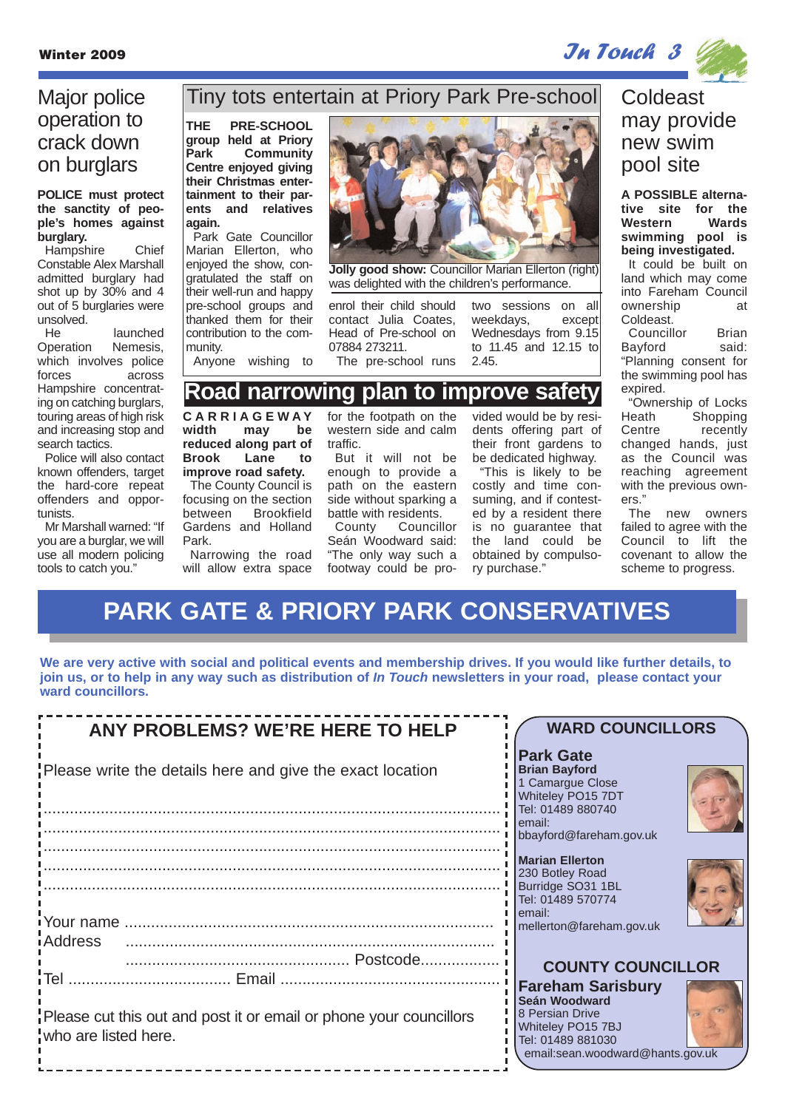

## Major police operation to crack down on burglars

#### **POLICE must protect the sanctity of people's homes against burglary.**

Hampshire Chief Constable Alex Marshall admitted burglary had shot up by 30% and 4 out of 5 burglaries were unsolved.

He launched Operation Nemesis, which involves police forces across Hampshire concentrating on catching burglars, touring areas of high risk and increasing stop and search tactics.

Police will also contact known offenders, target the hard-core repeat offenders and opportunists.

Mr Marshall warned: "If you are a burglar, we will use all modern policing tools to catch you."

#### Tiny tots entertain at Priory Park Pre-school

**THE PRE-SCHOOL group held at Priory Park Community Centre enjoyed giving their Christmas entertainment to their parents and relatives again.**

Park Gate Councillor Marian Ellerton, who enjoyed the show, congratulated the staff on their well-run and happy pre-school groups and thanked them for their contribution to the community.

Anyone wishing to



**Jolly good show:** Councillor Marian Ellerton (right) was delighted with the children's performance.

enrol their child should contact Julia Coates, Head of Pre-school on 07884 273211. The pre-school runs two sessions on all weekdays, except Wednesdays from 9.15 to 11.45 and 12.15 to 2.45.

#### **Road narrowing plan to improve safety**

**CARRIAGEWAY** may be **reduced along part of Brook Lane to improve road safety.**

The County Council is focusing on the section between Brookfield Gardens and Holland Park.

Narrowing the road will allow extra space for the footpath on the western side and calm traffic.

But it will not be enough to provide a path on the eastern side without sparking a battle with residents.

County Councillor Seán Woodward said: "The only way such a footway could be provided would be by residents offering part of their front gardens to be dedicated highway.

"This is likely to be costly and time consuming, and if contested by a resident there is no guarantee that the land could be obtained by compulsory purchase."

## Coldeast may provide new swim pool site

**A POSSIBLE alternative site for the Western swimming pool is being investigated.**

It could be built on land which may come into Fareham Council ownership at Coldeast.

Councillor Brian Bayford said: "Planning consent for the swimming pool has expired.

"Ownership of Locks Heath Shopping<br>Centre recently recently changed hands, just as the Council was reaching agreement with the previous owners."

The new owners failed to agree with the Council to lift the covenant to allow the scheme to progress.

# **PARK GATE & PRIORY PARK CONSERVATIVES**

**We are very active with social and political events and membership drives. If you would like further details, to join us, or to help in any way such as distribution of In Touch newsletters in your road, please contact your ward councillors.**

| <b>ANY PROBLEMS? WE'RE HERE TO HELP</b>                                                    | <b>WARD COUNCILLORS</b>                                                                                                                    |
|--------------------------------------------------------------------------------------------|--------------------------------------------------------------------------------------------------------------------------------------------|
| Please write the details here and give the exact location                                  | <b>IPark Gate</b><br><b>Brian Bayford</b><br>1 Camargue Close<br>Whiteley PO15 7DT<br>Tel: 01489 880740                                    |
|                                                                                            | l email:<br>bbayford@fareham.gov.uk                                                                                                        |
|                                                                                            | <b>Marian Ellerton</b><br>230 Botley Road<br>Burridge SO31 1BL<br>Tel: 01489 570774<br>email:<br>mellerton@fareham.gov.uk                  |
| <i>i</i> Address<br>'ПеІ …………………                                                           | <b>COUNTY COUNCILLOR</b>                                                                                                                   |
| Please cut this out and post it or email or phone your councillors<br>who are listed here. | <b>Fareham Sarisbury</b><br>Seán Woodward<br>8 Persian Drive<br>Whiteley PO15 7BJ<br>Tel: 01489 881030<br>email:sean.woodward@hants.gov.uk |